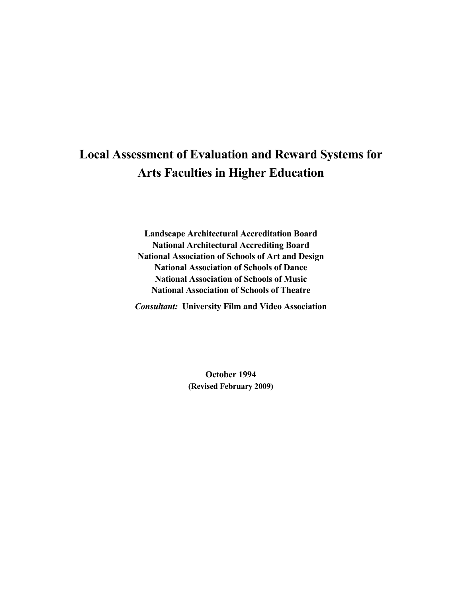# **Local Assessment of Evaluation and Reward Systems for Arts Faculties in Higher Education**

**Landscape Architectural Accreditation Board National Architectural Accrediting Board National Association of Schools of Art and Design National Association of Schools of Dance National Association of Schools of Music National Association of Schools of Theatre** 

*Consultant:* **University Film and Video Association** 

**October 1994 (Revised February 2009)**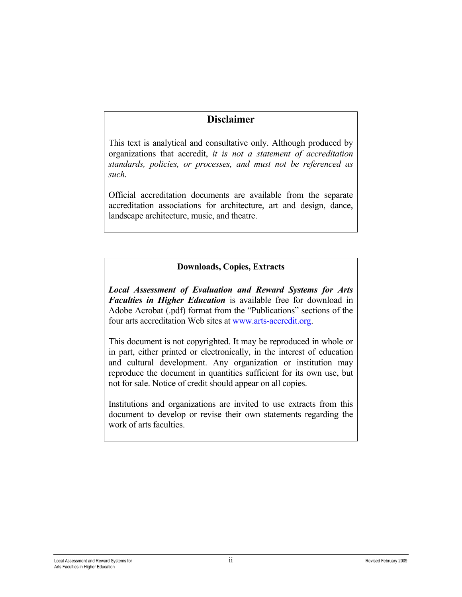# **Disclaimer**

This text is analytical and consultative only. Although produced by organizations that accredit, *it is not a statement of accreditation standards, policies, or processes, and must not be referenced as such.*

Official accreditation documents are available from the separate accreditation associations for architecture, art and design, dance, landscape architecture, music, and theatre.

# **Downloads, Copies, Extracts**

*Local Assessment of Evaluation and Reward Systems for Arts Faculties in Higher Education* is available free for download in Adobe Acrobat (.pdf) format from the "Publications" sections of the four arts accreditation Web sites at [www.arts-accredit.org.](http://www.arts-accredit.org/)

This document is not copyrighted. It may be reproduced in whole or in part, either printed or electronically, in the interest of education and cultural development. Any organization or institution may reproduce the document in quantities sufficient for its own use, but not for sale. Notice of credit should appear on all copies.

Institutions and organizations are invited to use extracts from this document to develop or revise their own statements regarding the work of arts faculties.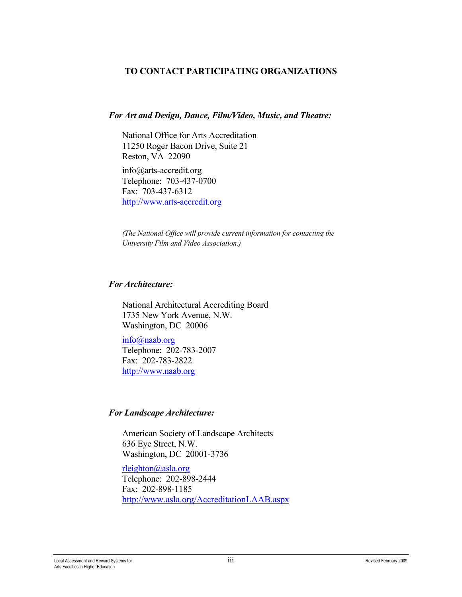# **TO CONTACT PARTICIPATING ORGANIZATIONS**

## *For Art and Design, Dance, Film/Video, Music, and Theatre:*

National Office for Arts Accreditation 11250 Roger Bacon Drive, Suite 21 Reston, VA 22090

info@arts-accredit.org Telephone: 703-437-0700 Fax: 703-437-6312 [http://www.arts-accredit.org](http://www.arts-accredit.org/) 

*(The National Office will provide current information for contacting the University Film and Video Association.)*

# *For Architecture:*

National Architectural Accrediting Board 1735 New York Avenue, N.W. Washington, DC 20006

[info@naab.org](mailto:info@naab.org) Telephone: 202-783-2007 Fax: 202-783-2822 [http://www.naab.org](http://www.naab.org/)

# *For Landscape Architecture:*

American Society of Landscape Architects 636 Eye Street, N.W. Washington, DC 20001-3736

[rleighton@asla.org](mailto:rleighton@asla.org) Telephone: 202-898-2444 Fax: 202-898-1185 <http://www.asla.org/AccreditationLAAB.aspx>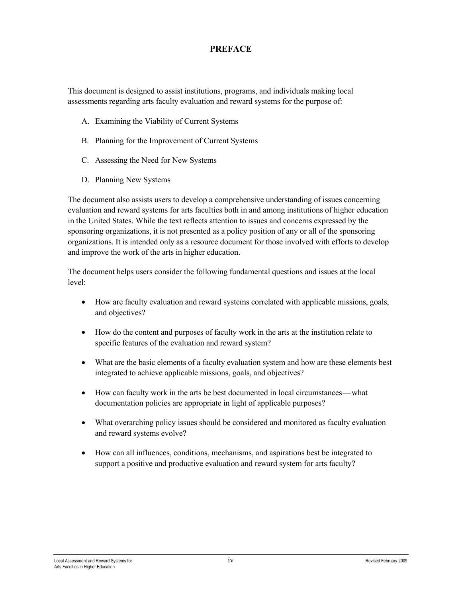## **PREFACE**

This document is designed to assist institutions, programs, and individuals making local assessments regarding arts faculty evaluation and reward systems for the purpose of:

- A. Examining the Viability of Current Systems
- B. Planning for the Improvement of Current Systems
- C. Assessing the Need for New Systems
- D. Planning New Systems

The document also assists users to develop a comprehensive understanding of issues concerning evaluation and reward systems for arts faculties both in and among institutions of higher education in the United States. While the text reflects attention to issues and concerns expressed by the sponsoring organizations, it is not presented as a policy position of any or all of the sponsoring organizations. It is intended only as a resource document for those involved with efforts to develop and improve the work of the arts in higher education.

The document helps users consider the following fundamental questions and issues at the local level:

- How are faculty evaluation and reward systems correlated with applicable missions, goals, and objectives?
- How do the content and purposes of faculty work in the arts at the institution relate to specific features of the evaluation and reward system?
- What are the basic elements of a faculty evaluation system and how are these elements best integrated to achieve applicable missions, goals, and objectives?
- How can faculty work in the arts be best documented in local circumstances—what documentation policies are appropriate in light of applicable purposes?
- What overarching policy issues should be considered and monitored as faculty evaluation and reward systems evolve?
- How can all influences, conditions, mechanisms, and aspirations best be integrated to support a positive and productive evaluation and reward system for arts faculty?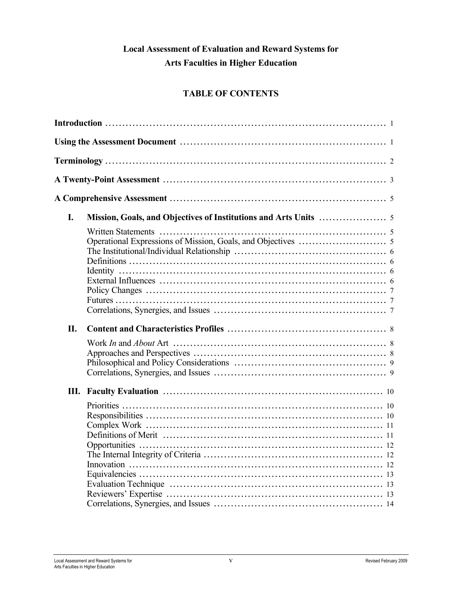# **Local Assessment of Evaluation and Reward Systems for Arts Faculties in Higher Education**

# **TABLE OF CONTENTS**

| I.  |  |  |
|-----|--|--|
|     |  |  |
| II. |  |  |
|     |  |  |
|     |  |  |
|     |  |  |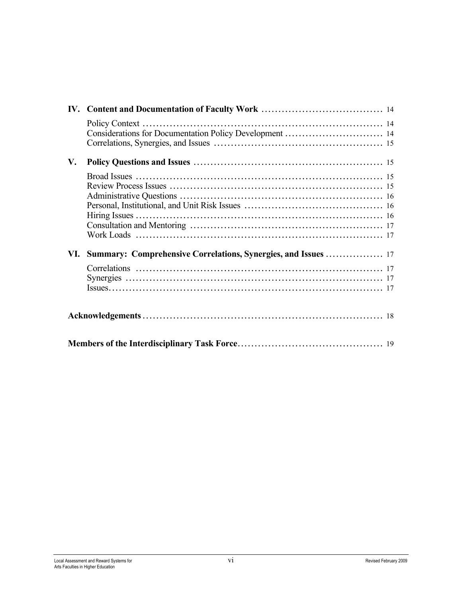|    | Considerations for Documentation Policy Development  14 |  |
|----|---------------------------------------------------------|--|
|    |                                                         |  |
| V. |                                                         |  |
|    |                                                         |  |
|    |                                                         |  |
|    |                                                         |  |
|    |                                                         |  |
|    |                                                         |  |
|    |                                                         |  |
|    |                                                         |  |
|    |                                                         |  |
|    |                                                         |  |
|    |                                                         |  |
|    |                                                         |  |
|    |                                                         |  |
|    |                                                         |  |
|    |                                                         |  |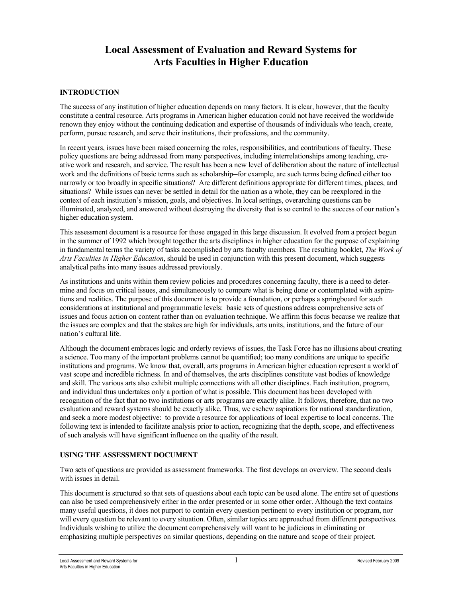# **Local Assessment of Evaluation and Reward Systems for Arts Faculties in Higher Education**

#### **INTRODUCTION**

The success of any institution of higher education depends on many factors. It is clear, however, that the faculty constitute a central resource. Arts programs in American higher education could not have received the worldwide renown they enjoy without the continuing dedication and expertise of thousands of individuals who teach, create, perform, pursue research, and serve their institutions, their professions, and the community.

In recent years, issues have been raised concerning the roles, responsibilities, and contributions of faculty. These policy questions are being addressed from many perspectives, including interrelationships among teaching, creative work and research, and service. The result has been a new level of deliberation about the nature of intellectual work and the definitions of basic terms such as scholarship-for example, are such terms being defined either too narrowly or too broadly in specific situations? Are different definitions appropriate for different times, places, and situations? While issues can never be settled in detail for the nation as a whole, they can be reexplored in the context of each institution's mission, goals, and objectives. In local settings, overarching questions can be illuminated, analyzed, and answered without destroying the diversity that is so central to the success of our nation's higher education system.

This assessment document is a resource for those engaged in this large discussion. It evolved from a project begun in the summer of 1992 which brought together the arts disciplines in higher education for the purpose of explaining in fundamental terms the variety of tasks accomplished by arts faculty members. The resulting booklet, *The Work of Arts Faculties in Higher Education*, should be used in conjunction with this present document, which suggests analytical paths into many issues addressed previously.

As institutions and units within them review policies and procedures concerning faculty, there is a need to determine and focus on critical issues, and simultaneously to compare what is being done or contemplated with aspirations and realities. The purpose of this document is to provide a foundation, or perhaps a springboard for such considerations at institutional and programmatic levels: basic sets of questions address comprehensive sets of issues and focus action on content rather than on evaluation technique. We affirm this focus because we realize that the issues are complex and that the stakes are high for individuals, arts units, institutions, and the future of our nation's cultural life.

Although the document embraces logic and orderly reviews of issues, the Task Force has no illusions about creating a science. Too many of the important problems cannot be quantified; too many conditions are unique to specific institutions and programs. We know that, overall, arts programs in American higher education represent a world of vast scope and incredible richness. In and of themselves, the arts disciplines constitute vast bodies of knowledge and skill. The various arts also exhibit multiple connections with all other disciplines. Each institution, program, and individual thus undertakes only a portion of what is possible. This document has been developed with recognition of the fact that no two institutions or arts programs are exactly alike. It follows, therefore, that no two evaluation and reward systems should be exactly alike. Thus, we eschew aspirations for national standardization, and seek a more modest objective: to provide a resource for applications of local expertise to local concerns. The following text is intended to facilitate analysis prior to action, recognizing that the depth, scope, and effectiveness of such analysis will have significant influence on the quality of the result.

#### **USING THE ASSESSMENT DOCUMENT**

Two sets of questions are provided as assessment frameworks. The first develops an overview. The second deals with issues in detail.

This document is structured so that sets of questions about each topic can be used alone. The entire set of questions can also be used comprehensively either in the order presented or in some other order. Although the text contains many useful questions, it does not purport to contain every question pertinent to every institution or program, nor will every question be relevant to every situation. Often, similar topics are approached from different perspectives. Individuals wishing to utilize the document comprehensively will want to be judicious in eliminating or emphasizing multiple perspectives on similar questions, depending on the nature and scope of their project.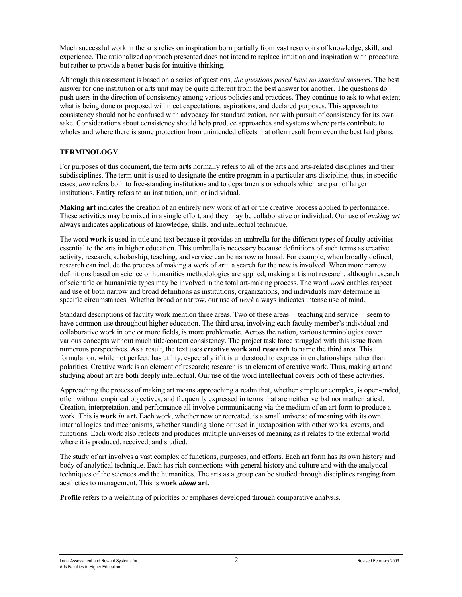Much successful work in the arts relies on inspiration born partially from vast reservoirs of knowledge, skill, and experience. The rationalized approach presented does not intend to replace intuition and inspiration with procedure, but rather to provide a better basis for intuitive thinking.

Although this assessment is based on a series of questions, *the questions posed have no standard answers*. The best answer for one institution or arts unit may be quite different from the best answer for another. The questions do push users in the direction of consistency among various policies and practices. They continue to ask to what extent what is being done or proposed will meet expectations, aspirations, and declared purposes. This approach to consistency should not be confused with advocacy for standardization, nor with pursuit of consistency for its own sake. Considerations about consistency should help produce approaches and systems where parts contribute to wholes and where there is some protection from unintended effects that often result from even the best laid plans.

#### **TERMINOLOGY**

For purposes of this document, the term **arts** normally refers to all of the arts and arts-related disciplines and their subdisciplines. The term **unit** is used to designate the entire program in a particular arts discipline; thus, in specific cases, *unit* refers both to free-standing institutions and to departments or schools which are part of larger institutions. **Entity** refers to an institution, unit, or individual.

**Making art** indicates the creation of an entirely new work of art or the creative process applied to performance. These activities may be mixed in a single effort, and they may be collaborative or individual. Our use of *making art* always indicates applications of knowledge, skills, and intellectual technique.

The word **work** is used in title and text because it provides an umbrella for the different types of faculty activities essential to the arts in higher education. This umbrella is necessary because definitions of such terms as creative activity, research, scholarship, teaching, and service can be narrow or broad. For example, when broadly defined, research can include the process of making a work of art: a search for the new is involved. When more narrow definitions based on science or humanities methodologies are applied, making art is not research, although research of scientific or humanistic types may be involved in the total art-making process. The word *work* enables respect and use of both narrow and broad definitions as institutions, organizations, and individuals may determine in specific circumstances. Whether broad or narrow, our use of *work* always indicates intense use of mind.

Standard descriptions of faculty work mention three areas. Two of these areas—teaching and service—seem to have common use throughout higher education. The third area, involving each faculty member's individual and collaborative work in one or more fields, is more problematic. Across the nation, various terminologies cover various concepts without much title/content consistency. The project task force struggled with this issue from numerous perspectives. As a result, the text uses **creative work and research** to name the third area. This formulation, while not perfect, has utility, especially if it is understood to express interrelationships rather than polarities. Creative work is an element of research; research is an element of creative work. Thus, making art and studying about art are both deeply intellectual. Our use of the word **intellectual** covers both of these activities.

Approaching the process of making art means approaching a realm that, whether simple or complex, is open-ended, often without empirical objectives, and frequently expressed in terms that are neither verbal nor mathematical. Creation, interpretation, and performance all involve communicating via the medium of an art form to produce a work. This is **work** *in* **art.** Each work, whether new or recreated, is a small universe of meaning with its own internal logics and mechanisms, whether standing alone or used in juxtaposition with other works, events, and functions. Each work also reflects and produces multiple universes of meaning as it relates to the external world where it is produced, received, and studied.

The study of art involves a vast complex of functions, purposes, and efforts. Each art form has its own history and body of analytical technique. Each has rich connections with general history and culture and with the analytical techniques of the sciences and the humanities. The arts as a group can be studied through disciplines ranging from aesthetics to management. This is **work** *about* **art.**

**Profile** refers to a weighting of priorities or emphases developed through comparative analysis.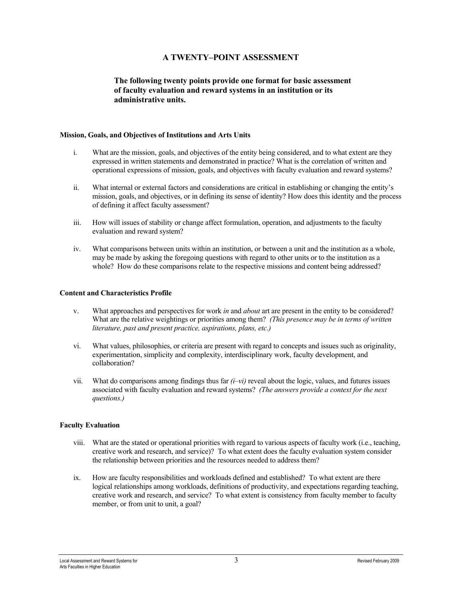## **A TWENTY–POINT ASSESSMENT**

#### **The following twenty points provide one format for basic assessment of faculty evaluation and reward systems in an institution or its administrative units.**

#### **Mission, Goals, and Objectives of Institutions and Arts Units**

- i. What are the mission, goals, and objectives of the entity being considered, and to what extent are they expressed in written statements and demonstrated in practice? What is the correlation of written and operational expressions of mission, goals, and objectives with faculty evaluation and reward systems?
- ii. What internal or external factors and considerations are critical in establishing or changing the entity's mission, goals, and objectives, or in defining its sense of identity? How does this identity and the process of defining it affect faculty assessment?
- iii. How will issues of stability or change affect formulation, operation, and adjustments to the faculty evaluation and reward system?
- iv. What comparisons between units within an institution, or between a unit and the institution as a whole, may be made by asking the foregoing questions with regard to other units or to the institution as a whole? How do these comparisons relate to the respective missions and content being addressed?

#### **Content and Characteristics Profile**

- v. What approaches and perspectives for work *in* and *about* art are present in the entity to be considered? What are the relative weightings or priorities among them? *(This presence may be in terms of written literature, past and present practice, aspirations, plans, etc.)*
- vi. What values, philosophies, or criteria are present with regard to concepts and issues such as originality, experimentation, simplicity and complexity, interdisciplinary work, faculty development, and collaboration?
- vii. What do comparisons among findings thus far *(i–vi)* reveal about the logic, values, and futures issues associated with faculty evaluation and reward systems? *(The answers provide a context for the next questions.)*

#### **Faculty Evaluation**

- viii. What are the stated or operational priorities with regard to various aspects of faculty work (i.e., teaching, creative work and research, and service)? To what extent does the faculty evaluation system consider the relationship between priorities and the resources needed to address them?
- ix. How are faculty responsibilities and workloads defined and established? To what extent are there logical relationships among workloads, definitions of productivity, and expectations regarding teaching, creative work and research, and service? To what extent is consistency from faculty member to faculty member, or from unit to unit, a goal?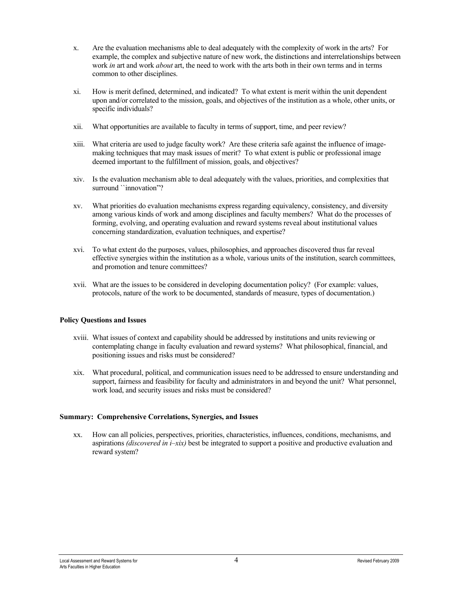- x. Are the evaluation mechanisms able to deal adequately with the complexity of work in the arts? For example, the complex and subjective nature of new work, the distinctions and interrelationships between work *in* art and work *about* art, the need to work with the arts both in their own terms and in terms common to other disciplines.
- xi. How is merit defined, determined, and indicated? To what extent is merit within the unit dependent upon and/or correlated to the mission, goals, and objectives of the institution as a whole, other units, or specific individuals?
- xii. What opportunities are available to faculty in terms of support, time, and peer review?
- xiii. What criteria are used to judge faculty work? Are these criteria safe against the influence of imagemaking techniques that may mask issues of merit? To what extent is public or professional image deemed important to the fulfillment of mission, goals, and objectives?
- xiv. Is the evaluation mechanism able to deal adequately with the values, priorities, and complexities that surround ``innovation"?
- xv. What priorities do evaluation mechanisms express regarding equivalency, consistency, and diversity among various kinds of work and among disciplines and faculty members? What do the processes of forming, evolving, and operating evaluation and reward systems reveal about institutional values concerning standardization, evaluation techniques, and expertise?
- xvi. To what extent do the purposes, values, philosophies, and approaches discovered thus far reveal effective synergies within the institution as a whole, various units of the institution, search committees, and promotion and tenure committees?
- xvii. What are the issues to be considered in developing documentation policy? (For example: values, protocols, nature of the work to be documented, standards of measure, types of documentation.)

#### **Policy Questions and Issues**

- xviii. What issues of context and capability should be addressed by institutions and units reviewing or contemplating change in faculty evaluation and reward systems? What philosophical, financial, and positioning issues and risks must be considered?
- xix. What procedural, political, and communication issues need to be addressed to ensure understanding and support, fairness and feasibility for faculty and administrators in and beyond the unit? What personnel, work load, and security issues and risks must be considered?

#### **Summary: Comprehensive Correlations, Synergies, and Issues**

xx. How can all policies, perspectives, priorities, characteristics, influences, conditions, mechanisms, and aspirations *(discovered in i–xix)* best be integrated to support a positive and productive evaluation and reward system?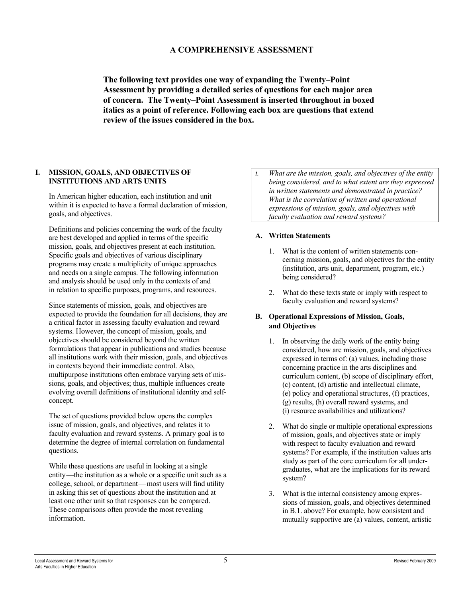### **A COMPREHENSIVE ASSESSMENT**

**The following text provides one way of expanding the Twenty–Point Assessment by providing a detailed series of questions for each major area of concern. The Twenty–Point Assessment is inserted throughout in boxed italics as a point of reference. Following each box are questions that extend review of the issues considered in the box.**

#### **I. MISSION, GOALS, AND OBJECTIVES OF INSTITUTIONS AND ARTS UNITS**

In American higher education, each institution and unit within it is expected to have a formal declaration of mission, goals, and objectives.

Definitions and policies concerning the work of the faculty are best developed and applied in terms of the specific mission, goals, and objectives present at each institution. Specific goals and objectives of various disciplinary programs may create a multiplicity of unique approaches and needs on a single campus. The following information and analysis should be used only in the contexts of and in relation to specific purposes, programs, and resources.

Since statements of mission, goals, and objectives are expected to provide the foundation for all decisions, they are a critical factor in assessing faculty evaluation and reward systems. However, the concept of mission, goals, and objectives should be considered beyond the written formulations that appear in publications and studies because all institutions work with their mission, goals, and objectives in contexts beyond their immediate control. Also, multipurpose institutions often embrace varying sets of missions, goals, and objectives; thus, multiple influences create evolving overall definitions of institutional identity and selfconcept.

The set of questions provided below opens the complex issue of mission, goals, and objectives, and relates it to faculty evaluation and reward systems. A primary goal is to determine the degree of internal correlation on fundamental questions.

While these questions are useful in looking at a single entity—the institution as a whole or a specific unit such as a college, school, or department—most users will find utility in asking this set of questions about the institution and at least one other unit so that responses can be compared. These comparisons often provide the most revealing information.

*i. What are the mission, goals, and objectives of the entity being considered, and to what extent are they expressed in written statements and demonstrated in practice? What is the correlation of written and operational expressions of mission, goals, and objectives with faculty evaluation and reward systems?*

#### **A. Written Statements**

- 1. What is the content of written statements concerning mission, goals, and objectives for the entity (institution, arts unit, department, program, etc.) being considered?
- 2. What do these texts state or imply with respect to faculty evaluation and reward systems?

#### **B. Operational Expressions of Mission, Goals, and Objectives**

- 1. In observing the daily work of the entity being considered, how are mission, goals, and objectives expressed in terms of: (a) values, including those concerning practice in the arts disciplines and curriculum content, (b) scope of disciplinary effort, (c) content, (d) artistic and intellectual climate, (e) policy and operational structures, (f) practices, (g) results, (h) overall reward systems, and (i) resource availabilities and utilizations?
- 2. What do single or multiple operational expressions of mission, goals, and objectives state or imply with respect to faculty evaluation and reward systems? For example, if the institution values arts study as part of the core curriculum for all undergraduates, what are the implications for its reward system?
- 3. What is the internal consistency among expressions of mission, goals, and objectives determined in B.1. above? For example, how consistent and mutually supportive are (a) values, content, artistic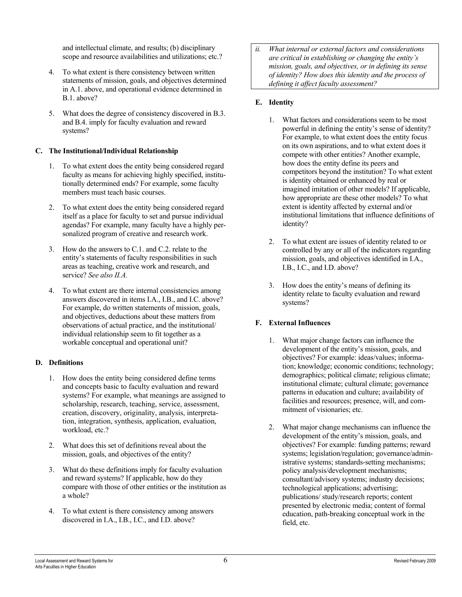and intellectual climate, and results; (b) disciplinary scope and resource availabilities and utilizations; etc.?

- 4. To what extent is there consistency between written statements of mission, goals, and objectives determined in A.1. above, and operational evidence determined in B.1. above?
- 5. What does the degree of consistency discovered in B.3. and B.4. imply for faculty evaluation and reward systems?

#### **C. The Institutional/Individual Relationship**

- 1. To what extent does the entity being considered regard faculty as means for achieving highly specified, institutionally determined ends? For example, some faculty members must teach basic courses.
- 2. To what extent does the entity being considered regard itself as a place for faculty to set and pursue individual agendas? For example, many faculty have a highly personalized program of creative and research work.
- 3. How do the answers to C.1. and C.2. relate to the entity's statements of faculty responsibilities in such areas as teaching, creative work and research, and service? *See also II.A.*
- 4. To what extent are there internal consistencies among answers discovered in items I.A., I.B., and I.C. above? For example, do written statements of mission, goals, and objectives, deductions about these matters from observations of actual practice, and the institutional/ individual relationship seem to fit together as a workable conceptual and operational unit?

#### **D. Definitions**

- 1. How does the entity being considered define terms and concepts basic to faculty evaluation and reward systems? For example, what meanings are assigned to scholarship, research, teaching, service, assessment, creation, discovery, originality, analysis, interpretation, integration, synthesis, application, evaluation, workload, etc.?
- 2. What does this set of definitions reveal about the mission, goals, and objectives of the entity?
- 3. What do these definitions imply for faculty evaluation and reward systems? If applicable, how do they compare with those of other entities or the institution as a whole?
- 4. To what extent is there consistency among answers discovered in I.A., I.B., I.C., and I.D. above?

*ii. What internal or external factors and considerations are critical in establishing or changing the entity's mission, goals, and objectives, or in defining its sense of identity? How does this identity and the process of defining it affect faculty assessment?* 

#### **E. Identity**

- 1. What factors and considerations seem to be most powerful in defining the entity's sense of identity? For example, to what extent does the entity focus on its own aspirations, and to what extent does it compete with other entities? Another example, how does the entity define its peers and competitors beyond the institution? To what extent is identity obtained or enhanced by real or imagined imitation of other models? If applicable, how appropriate are these other models? To what extent is identity affected by external and/or institutional limitations that influence definitions of identity?
- 2. To what extent are issues of identity related to or controlled by any or all of the indicators regarding mission, goals, and objectives identified in I.A., I.B., I.C., and I.D. above?
- 3. How does the entity's means of defining its identity relate to faculty evaluation and reward systems?

#### **F. External Influences**

- 1. What major change factors can influence the development of the entity's mission, goals, and objectives? For example: ideas/values; information; knowledge; economic conditions; technology; demographics; political climate; religious climate; institutional climate; cultural climate; governance patterns in education and culture; availability of facilities and resources; presence, will, and commitment of visionaries; etc.
- 2. What major change mechanisms can influence the development of the entity's mission, goals, and objectives? For example: funding patterns; reward systems; legislation/regulation; governance/administrative systems; standards-setting mechanisms; policy analysis/development mechanisms; consultant/advisory systems; industry decisions; technological applications; advertising; publications/ study/research reports; content presented by electronic media; content of formal education, path-breaking conceptual work in the field, etc.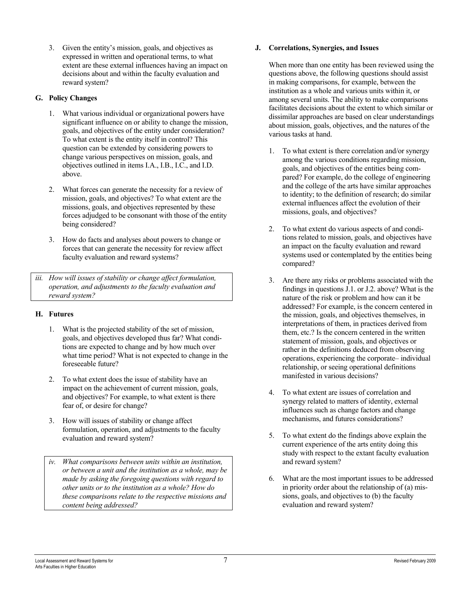3. Given the entity's mission, goals, and objectives as expressed in written and operational terms, to what extent are these external influences having an impact on decisions about and within the faculty evaluation and reward system?

#### **G. Policy Changes**

- 1. What various individual or organizational powers have significant influence on or ability to change the mission, goals, and objectives of the entity under consideration? To what extent is the entity itself in control? This question can be extended by considering powers to change various perspectives on mission, goals, and objectives outlined in items I.A., I.B., I.C., and I.D. above.
- 2. What forces can generate the necessity for a review of mission, goals, and objectives? To what extent are the missions, goals, and objectives represented by these forces adjudged to be consonant with those of the entity being considered?
- 3. How do facts and analyses about powers to change or forces that can generate the necessity for review affect faculty evaluation and reward systems?
- *iii. How will issues of stability or change affect formulation, operation, and adjustments to the faculty evaluation and reward system?*

#### **H. Futures**

- 1. What is the projected stability of the set of mission, goals, and objectives developed thus far? What conditions are expected to change and by how much over what time period? What is not expected to change in the foreseeable future?
- 2. To what extent does the issue of stability have an impact on the achievement of current mission, goals, and objectives? For example, to what extent is there fear of, or desire for change?
- 3. How will issues of stability or change affect formulation, operation, and adjustments to the faculty evaluation and reward system?
- *iv. What comparisons between units within an institution, or between a unit and the institution as a whole, may be made by asking the foregoing questions with regard to other units or to the institution as a whole? How do these comparisons relate to the respective missions and content being addressed?*

#### **J. Correlations, Synergies, and Issues**

When more than one entity has been reviewed using the questions above, the following questions should assist in making comparisons, for example, between the institution as a whole and various units within it, or among several units. The ability to make comparisons facilitates decisions about the extent to which similar or dissimilar approaches are based on clear understandings about mission, goals, objectives, and the natures of the various tasks at hand.

- 1. To what extent is there correlation and/or synergy among the various conditions regarding mission, goals, and objectives of the entities being compared? For example, do the college of engineering and the college of the arts have similar approaches to identity; to the definition of research; do similar external influences affect the evolution of their missions, goals, and objectives?
- 2. To what extent do various aspects of and conditions related to mission, goals, and objectives have an impact on the faculty evaluation and reward systems used or contemplated by the entities being compared?
- 3. Are there any risks or problems associated with the findings in questions J.1. or J.2. above? What is the nature of the risk or problem and how can it be addressed? For example, is the concern centered in the mission, goals, and objectives themselves, in interpretations of them, in practices derived from them, etc.? Is the concern centered in the written statement of mission, goals, and objectives or rather in the definitions deduced from observing operations, experiencing the corporate– individual relationship, or seeing operational definitions manifested in various decisions?
- 4. To what extent are issues of correlation and synergy related to matters of identity, external influences such as change factors and change mechanisms, and futures considerations?
- 5. To what extent do the findings above explain the current experience of the arts entity doing this study with respect to the extant faculty evaluation and reward system?
- 6. What are the most important issues to be addressed in priority order about the relationship of (a) missions, goals, and objectives to (b) the faculty evaluation and reward system?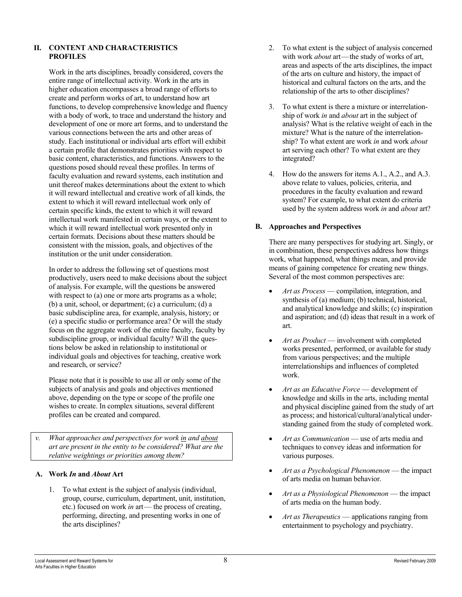#### **II. CONTENT AND CHARACTERISTICS PROFILES**

Work in the arts disciplines, broadly considered, covers the entire range of intellectual activity. Work in the arts in higher education encompasses a broad range of efforts to create and perform works of art, to understand how art functions, to develop comprehensive knowledge and fluency with a body of work, to trace and understand the history and development of one or more art forms, and to understand the various connections between the arts and other areas of study. Each institutional or individual arts effort will exhibit a certain profile that demonstrates priorities with respect to basic content, characteristics, and functions. Answers to the questions posed should reveal these profiles. In terms of faculty evaluation and reward systems, each institution and unit thereof makes determinations about the extent to which it will reward intellectual and creative work of all kinds, the extent to which it will reward intellectual work only of certain specific kinds, the extent to which it will reward intellectual work manifested in certain ways, or the extent to which it will reward intellectual work presented only in certain formats. Decisions about these matters should be consistent with the mission, goals, and objectives of the institution or the unit under consideration.

In order to address the following set of questions most productively, users need to make decisions about the subject of analysis. For example, will the questions be answered with respect to (a) one or more arts programs as a whole; (b) a unit, school, or department; (c) a curriculum; (d) a basic subdiscipline area, for example, analysis, history; or (e) a specific studio or performance area? Or will the study focus on the aggregate work of the entire faculty, faculty by subdiscipline group, or individual faculty? Will the questions below be asked in relationship to institutional or individual goals and objectives for teaching, creative work and research, or service?

Please note that it is possible to use all or only some of the subjects of analysis and goals and objectives mentioned above, depending on the type or scope of the profile one wishes to create. In complex situations, several different profiles can be created and compared.

*v. What approaches and perspectives for work in and about art are present in the entity to be considered? What are the relative weightings or priorities among them?*

#### **A. Work** *In* **and** *About* **Art**

1. To what extent is the subject of analysis (individual, group, course, curriculum, department, unit, institution, etc.) focused on work *in* art— the process of creating, performing, directing, and presenting works in one of the arts disciplines?

- 2. To what extent is the subject of analysis concerned with work *about* art—the study of works of art, areas and aspects of the arts disciplines, the impact of the arts on culture and history, the impact of historical and cultural factors on the arts, and the relationship of the arts to other disciplines?
- 3. To what extent is there a mixture or interrelationship of work *in* and *about* art in the subject of analysis? What is the relative weight of each in the mixture? What is the nature of the interrelationship? To what extent are work *in* and work *about* art serving each other? To what extent are they integrated?
- 4. How do the answers for items A.1., A.2., and A.3. above relate to values, policies, criteria, and procedures in the faculty evaluation and reward system? For example, to what extent do criteria used by the system address work *in* and *about* art?

#### **B. Approaches and Perspectives**

There are many perspectives for studying art. Singly, or in combination, these perspectives address how things work, what happened, what things mean, and provide means of gaining competence for creating new things. Several of the most common perspectives are:

- *Art as Process* compilation, integration, and synthesis of (a) medium; (b) technical, historical, and analytical knowledge and skills; (c) inspiration and aspiration; and (d) ideas that result in a work of art.
- *Art as Product* involvement with completed works presented, performed, or available for study from various perspectives; and the multiple interrelationships and influences of completed work.
- *Art as an Educative Force* development of knowledge and skills in the arts, including mental and physical discipline gained from the study of art as process; and historical/cultural/analytical understanding gained from the study of completed work.
- *Art as Communication* use of arts media and techniques to convey ideas and information for various purposes.
- *Art as a Psychological Phenomenon*  the impact of arts media on human behavior.
- *Art as a Physiological Phenomenon* the impact of arts media on the human body.
- *Art as Therapeutics* applications ranging from entertainment to psychology and psychiatry.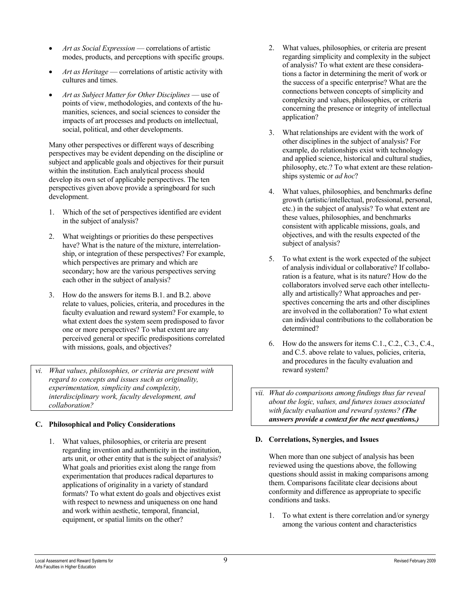- *Art as Social Expression* correlations of artistic modes, products, and perceptions with specific groups.
- *Art as Heritage* correlations of artistic activity with cultures and times.
- *Art as Subject Matter for Other Disciplines* use of points of view, methodologies, and contexts of the humanities, sciences, and social sciences to consider the impacts of art processes and products on intellectual, social, political, and other developments.

Many other perspectives or different ways of describing perspectives may be evident depending on the discipline or subject and applicable goals and objectives for their pursuit within the institution. Each analytical process should develop its own set of applicable perspectives. The ten perspectives given above provide a springboard for such development.

- 1. Which of the set of perspectives identified are evident in the subject of analysis?
- 2. What weightings or priorities do these perspectives have? What is the nature of the mixture, interrelationship, or integration of these perspectives? For example, which perspectives are primary and which are secondary; how are the various perspectives serving each other in the subject of analysis?
- 3. How do the answers for items B.1. and B.2. above relate to values, policies, criteria, and procedures in the faculty evaluation and reward system? For example, to what extent does the system seem predisposed to favor one or more perspectives? To what extent are any perceived general or specific predispositions correlated with missions, goals, and objectives?
- *vi. What values, philosophies, or criteria are present with regard to concepts and issues such as originality, experimentation, simplicity and complexity, interdisciplinary work, faculty development, and collaboration?*

#### **C. Philosophical and Policy Considerations**

1. What values, philosophies, or criteria are present regarding invention and authenticity in the institution, arts unit, or other entity that is the subject of analysis? What goals and priorities exist along the range from experimentation that produces radical departures to applications of originality in a variety of standard formats? To what extent do goals and objectives exist with respect to newness and uniqueness on one hand and work within aesthetic, temporal, financial, equipment, or spatial limits on the other?

- 2. What values, philosophies, or criteria are present regarding simplicity and complexity in the subject of analysis? To what extent are these considerations a factor in determining the merit of work or the success of a specific enterprise? What are the connections between concepts of simplicity and complexity and values, philosophies, or criteria concerning the presence or integrity of intellectual application?
- 3. What relationships are evident with the work of other disciplines in the subject of analysis? For example, do relationships exist with technology and applied science, historical and cultural studies, philosophy, etc.? To what extent are these relationships systemic or *ad hoc*?
- 4. What values, philosophies, and benchmarks define growth (artistic/intellectual, professional, personal, etc.) in the subject of analysis? To what extent are these values, philosophies, and benchmarks consistent with applicable missions, goals, and objectives, and with the results expected of the subject of analysis?
- 5. To what extent is the work expected of the subject of analysis individual or collaborative? If collaboration is a feature, what is its nature? How do the collaborators involved serve each other intellectually and artistically? What approaches and perspectives concerning the arts and other disciplines are involved in the collaboration? To what extent can individual contributions to the collaboration be determined?
- 6. How do the answers for items C.1., C.2., C.3., C.4., and C.5. above relate to values, policies, criteria, and procedures in the faculty evaluation and reward system?
- *vii. What do comparisons among findings thus far reveal about the logic, values, and futures issues associated with faculty evaluation and reward systems? (The answers provide a context for the next questions.)*

### **D. Correlations, Synergies, and Issues**

When more than one subject of analysis has been reviewed using the questions above, the following questions should assist in making comparisons among them. Comparisons facilitate clear decisions about conformity and difference as appropriate to specific conditions and tasks.

1. To what extent is there correlation and/or synergy among the various content and characteristics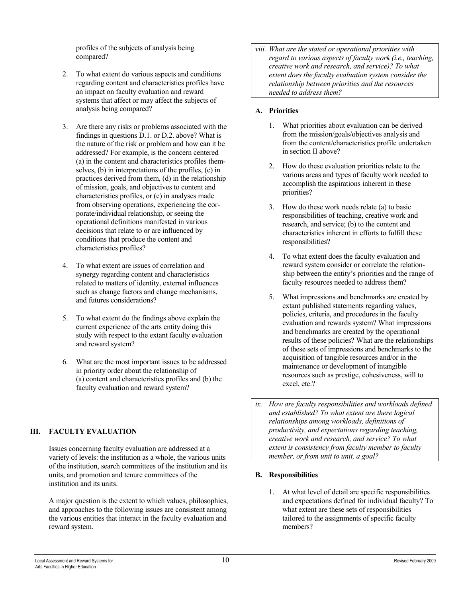profiles of the subjects of analysis being compared?

- 2. To what extent do various aspects and conditions regarding content and characteristics profiles have an impact on faculty evaluation and reward systems that affect or may affect the subjects of analysis being compared?
- 3. Are there any risks or problems associated with the findings in questions D.1. or D.2. above? What is the nature of the risk or problem and how can it be addressed? For example, is the concern centered (a) in the content and characteristics profiles themselves, (b) in interpretations of the profiles, (c) in practices derived from them, (d) in the relationship of mission, goals, and objectives to content and characteristics profiles, or (e) in analyses made from observing operations, experiencing the corporate/individual relationship, or seeing the operational definitions manifested in various decisions that relate to or are influenced by conditions that produce the content and characteristics profiles?
- 4. To what extent are issues of correlation and synergy regarding content and characteristics related to matters of identity, external influences such as change factors and change mechanisms, and futures considerations?
- 5. To what extent do the findings above explain the current experience of the arts entity doing this study with respect to the extant faculty evaluation and reward system?
- 6. What are the most important issues to be addressed in priority order about the relationship of (a) content and characteristics profiles and (b) the faculty evaluation and reward system?

### **III. FACULTY EVALUATION**

Issues concerning faculty evaluation are addressed at a variety of levels: the institution as a whole, the various units of the institution, search committees of the institution and its units, and promotion and tenure committees of the institution and its units.

A major question is the extent to which values, philosophies, and approaches to the following issues are consistent among the various entities that interact in the faculty evaluation and reward system.

*viii. What are the stated or operational priorities with regard to various aspects of faculty work (i.e., teaching, creative work and research, and service)? To what extent does the faculty evaluation system consider the relationship between priorities and the resources needed to address them?* 

#### **A. Priorities**

- 1. What priorities about evaluation can be derived from the mission/goals/objectives analysis and from the content/characteristics profile undertaken in section II above?
- 2. How do these evaluation priorities relate to the various areas and types of faculty work needed to accomplish the aspirations inherent in these priorities?
- 3. How do these work needs relate (a) to basic responsibilities of teaching, creative work and research, and service; (b) to the content and characteristics inherent in efforts to fulfill these responsibilities?
- 4. To what extent does the faculty evaluation and reward system consider or correlate the relationship between the entity's priorities and the range of faculty resources needed to address them?
- 5. What impressions and benchmarks are created by extant published statements regarding values, policies, criteria, and procedures in the faculty evaluation and rewards system? What impressions and benchmarks are created by the operational results of these policies? What are the relationships of these sets of impressions and benchmarks to the acquisition of tangible resources and/or in the maintenance or development of intangible resources such as prestige, cohesiveness, will to excel, etc.?

*ix. How are faculty responsibilities and workloads defined and established? To what extent are there logical relationships among workloads, definitions of productivity, and expectations regarding teaching, creative work and research, and service? To what extent is consistency from faculty member to faculty member, or from unit to unit, a goal?*

### **B. Responsibilities**

1. At what level of detail are specific responsibilities and expectations defined for individual faculty? To what extent are these sets of responsibilities tailored to the assignments of specific faculty members?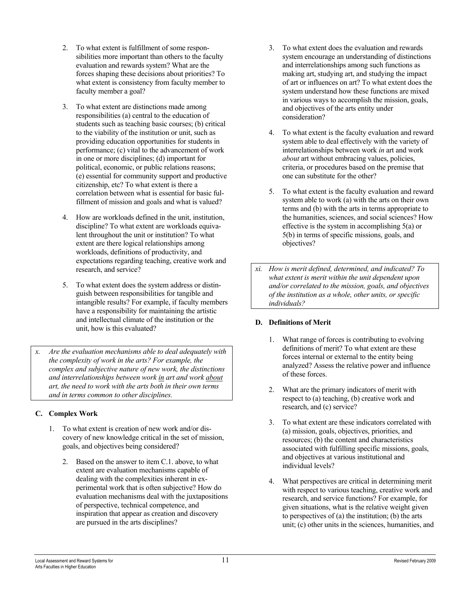- 2. To what extent is fulfillment of some responsibilities more important than others to the faculty evaluation and rewards system? What are the forces shaping these decisions about priorities? To what extent is consistency from faculty member to faculty member a goal?
- 3. To what extent are distinctions made among responsibilities (a) central to the education of students such as teaching basic courses; (b) critical to the viability of the institution or unit, such as providing education opportunities for students in performance; (c) vital to the advancement of work in one or more disciplines; (d) important for political, economic, or public relations reasons; (e) essential for community support and productive citizenship, etc? To what extent is there a correlation between what is essential for basic fulfillment of mission and goals and what is valued?
- 4. How are workloads defined in the unit, institution, discipline? To what extent are workloads equivalent throughout the unit or institution? To what extent are there logical relationships among workloads, definitions of productivity, and expectations regarding teaching, creative work and research, and service?
- 5. To what extent does the system address or distinguish between responsibilities for tangible and intangible results? For example, if faculty members have a responsibility for maintaining the artistic and intellectual climate of the institution or the unit, how is this evaluated?
- *x. Are the evaluation mechanisms able to deal adequately with the complexity of work in the arts? For example, the complex and subjective nature of new work, the distinctions and interrelationships between work in art and work about art, the need to work with the arts both in their own terms and in terms common to other disciplines.*

# **C. Complex Work**

- 1. To what extent is creation of new work and/or discovery of new knowledge critical in the set of mission, goals, and objectives being considered?
	- 2. Based on the answer to item C.1. above, to what extent are evaluation mechanisms capable of dealing with the complexities inherent in experimental work that is often subjective? How do evaluation mechanisms deal with the juxtapositions of perspective, technical competence, and inspiration that appear as creation and discovery are pursued in the arts disciplines?
- 3. To what extent does the evaluation and rewards system encourage an understanding of distinctions and interrelationships among such functions as making art, studying art, and studying the impact of art or influences on art? To what extent does the system understand how these functions are mixed in various ways to accomplish the mission, goals, and objectives of the arts entity under consideration?
- 4. To what extent is the faculty evaluation and reward system able to deal effectively with the variety of interrelationships between work *in* art and work *about* art without embracing values, policies, criteria, or procedures based on the premise that one can substitute for the other?
- 5. To what extent is the faculty evaluation and reward system able to work (a) with the arts on their own terms and (b) with the arts in terms appropriate to the humanities, sciences, and social sciences? How effective is the system in accomplishing 5(a) or 5(b) in terms of specific missions, goals, and objectives?
- *xi. How is merit defined, determined, and indicated? To what extent is merit within the unit dependent upon and/or correlated to the mission, goals, and objectives of the institution as a whole, other units, or specific individuals?*

# **D. Definitions of Merit**

- 1. What range of forces is contributing to evolving definitions of merit? To what extent are these forces internal or external to the entity being analyzed? Assess the relative power and influence of these forces.
- 2. What are the primary indicators of merit with respect to (a) teaching, (b) creative work and research, and (c) service?
- 3. To what extent are these indicators correlated with (a) mission, goals, objectives, priorities, and resources; (b) the content and characteristics associated with fulfilling specific missions, goals, and objectives at various institutional and individual levels?
- 4. What perspectives are critical in determining merit with respect to various teaching, creative work and research, and service functions? For example, for given situations, what is the relative weight given to perspectives of (a) the institution; (b) the arts unit; (c) other units in the sciences, humanities, and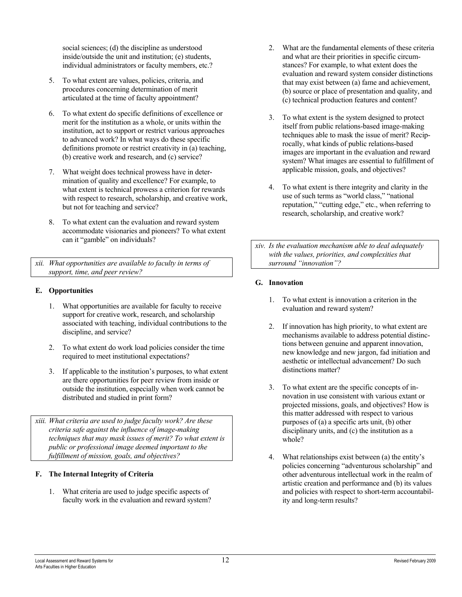social sciences; (d) the discipline as understood inside/outside the unit and institution; (e) students, individual administrators or faculty members, etc.?

- 5. To what extent are values, policies, criteria, and procedures concerning determination of merit articulated at the time of faculty appointment?
- 6. To what extent do specific definitions of excellence or merit for the institution as a whole, or units within the institution, act to support or restrict various approaches to advanced work? In what ways do these specific definitions promote or restrict creativity in (a) teaching, (b) creative work and research, and (c) service?
- 7. What weight does technical prowess have in determination of quality and excellence? For example, to what extent is technical prowess a criterion for rewards with respect to research, scholarship, and creative work, but not for teaching and service?
- 8. To what extent can the evaluation and reward system accommodate visionaries and pioneers? To what extent can it "gamble" on individuals?

*xii. What opportunities are available to faculty in terms of support, time, and peer review?*

### **E. Opportunities**

- 1. What opportunities are available for faculty to receive support for creative work, research, and scholarship associated with teaching, individual contributions to the discipline, and service?
- 2. To what extent do work load policies consider the time required to meet institutional expectations?
- 3. If applicable to the institution's purposes, to what extent are there opportunities for peer review from inside or outside the institution, especially when work cannot be distributed and studied in print form?

*xiii. What criteria are used to judge faculty work? Are these criteria safe against the influence of image-making techniques that may mask issues of merit? To what extent is public or professional image deemed important to the fulfillment of mission, goals, and objectives?* 

### **F. The Internal Integrity of Criteria**

1. What criteria are used to judge specific aspects of faculty work in the evaluation and reward system?

- 2. What are the fundamental elements of these criteria and what are their priorities in specific circumstances? For example, to what extent does the evaluation and reward system consider distinctions that may exist between (a) fame and achievement, (b) source or place of presentation and quality, and (c) technical production features and content?
- 3. To what extent is the system designed to protect itself from public relations-based image-making techniques able to mask the issue of merit? Reciprocally, what kinds of public relations-based images are important in the evaluation and reward system? What images are essential to fulfillment of applicable mission, goals, and objectives?
- 4. To what extent is there integrity and clarity in the use of such terms as "world class," "national reputation," "cutting edge," etc., when referring to research, scholarship, and creative work?

*xiv. Is the evaluation mechanism able to deal adequately with the values, priorities, and complexities that surround "innovation"?*

#### **G. Innovation**

- 1. To what extent is innovation a criterion in the evaluation and reward system?
- 2. If innovation has high priority, to what extent are mechanisms available to address potential distinctions between genuine and apparent innovation, new knowledge and new jargon, fad initiation and aesthetic or intellectual advancement? Do such distinctions matter?
- 3. To what extent are the specific concepts of innovation in use consistent with various extant or projected missions, goals, and objectives? How is this matter addressed with respect to various purposes of (a) a specific arts unit, (b) other disciplinary units, and (c) the institution as a whole?
- 4. What relationships exist between (a) the entity's policies concerning "adventurous scholarship" and other adventurous intellectual work in the realm of artistic creation and performance and (b) its values and policies with respect to short-term accountability and long-term results?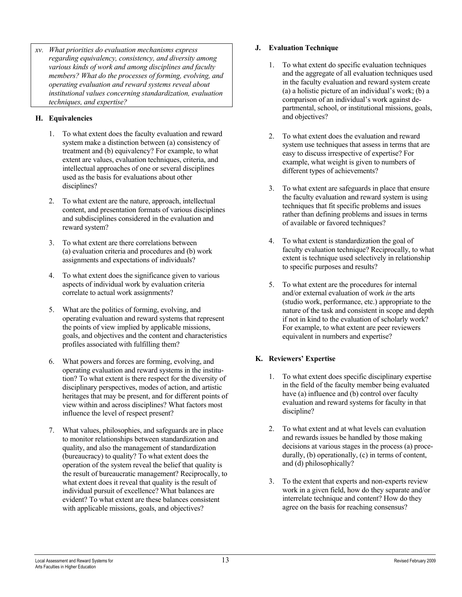*xv. What priorities do evaluation mechanisms express regarding equivalency, consistency, and diversity among various kinds of work and among disciplines and faculty members? What do the processes of forming, evolving, and operating evaluation and reward systems reveal about institutional values concerning standardization, evaluation techniques, and expertise?* 

## **H. Equivalencies**

- 1. To what extent does the faculty evaluation and reward system make a distinction between (a) consistency of treatment and (b) equivalency? For example, to what extent are values, evaluation techniques, criteria, and intellectual approaches of one or several disciplines used as the basis for evaluations about other disciplines?
- 2. To what extent are the nature, approach, intellectual content, and presentation formats of various disciplines and subdisciplines considered in the evaluation and reward system?
- 3. To what extent are there correlations between (a) evaluation criteria and procedures and (b) work assignments and expectations of individuals?
- 4. To what extent does the significance given to various aspects of individual work by evaluation criteria correlate to actual work assignments?
- 5. What are the politics of forming, evolving, and operating evaluation and reward systems that represent the points of view implied by applicable missions, goals, and objectives and the content and characteristics profiles associated with fulfilling them?
- 6. What powers and forces are forming, evolving, and operating evaluation and reward systems in the institution? To what extent is there respect for the diversity of disciplinary perspectives, modes of action, and artistic heritages that may be present, and for different points of view within and across disciplines? What factors most influence the level of respect present?
- 7. What values, philosophies, and safeguards are in place to monitor relationships between standardization and quality, and also the management of standardization (bureaucracy) to quality? To what extent does the operation of the system reveal the belief that quality is the result of bureaucratic management? Reciprocally, to what extent does it reveal that quality is the result of individual pursuit of excellence? What balances are evident? To what extent are these balances consistent with applicable missions, goals, and objectives?

### **J. Evaluation Technique**

- 1. To what extent do specific evaluation techniques and the aggregate of all evaluation techniques used in the faculty evaluation and reward system create (a) a holistic picture of an individual's work; (b) a comparison of an individual's work against departmental, school, or institutional missions, goals, and objectives?
- 2. To what extent does the evaluation and reward system use techniques that assess in terms that are easy to discuss irrespective of expertise? For example, what weight is given to numbers of different types of achievements?
- 3. To what extent are safeguards in place that ensure the faculty evaluation and reward system is using techniques that fit specific problems and issues rather than defining problems and issues in terms of available or favored techniques?
- 4. To what extent is standardization the goal of faculty evaluation technique? Reciprocally, to what extent is technique used selectively in relationship to specific purposes and results?
- 5. To what extent are the procedures for internal and/or external evaluation of work *in* the arts (studio work, performance, etc.) appropriate to the nature of the task and consistent in scope and depth if not in kind to the evaluation of scholarly work? For example, to what extent are peer reviewers equivalent in numbers and expertise?

### **K. Reviewers' Expertise**

- 1. To what extent does specific disciplinary expertise in the field of the faculty member being evaluated have (a) influence and (b) control over faculty evaluation and reward systems for faculty in that discipline?
- 2. To what extent and at what levels can evaluation and rewards issues be handled by those making decisions at various stages in the process (a) procedurally, (b) operationally, (c) in terms of content, and (d) philosophically?
- 3. To the extent that experts and non-experts review work in a given field, how do they separate and/or interrelate technique and content? How do they agree on the basis for reaching consensus?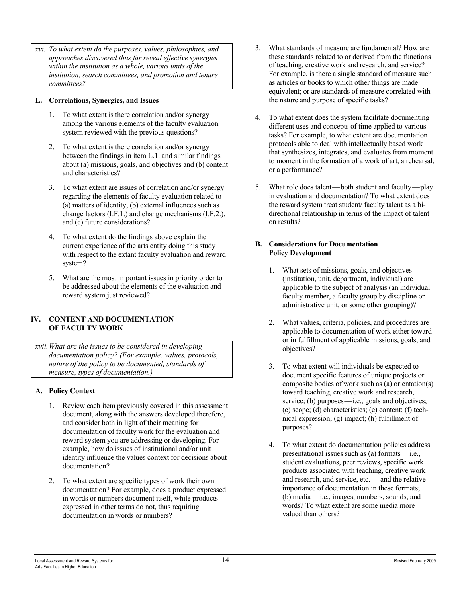*xvi. To what extent do the purposes, values, philosophies, and approaches discovered thus far reveal effective synergies within the institution as a whole, various units of the institution, search committees, and promotion and tenure committees?* 

#### **L. Correlations, Synergies, and Issues**

- 1. To what extent is there correlation and/or synergy among the various elements of the faculty evaluation system reviewed with the previous questions?
- 2. To what extent is there correlation and/or synergy between the findings in item L.1. and similar findings about (a) missions, goals, and objectives and (b) content and characteristics?
- 3. To what extent are issues of correlation and/or synergy regarding the elements of faculty evaluation related to (a) matters of identity, (b) external influences such as change factors (I.F.1.) and change mechanisms (I.F.2.), and (c) future considerations?
- 4. To what extent do the findings above explain the current experience of the arts entity doing this study with respect to the extant faculty evaluation and reward system?
- 5. What are the most important issues in priority order to be addressed about the elements of the evaluation and reward system just reviewed?

#### **IV. CONTENT AND DOCUMENTATION OF FACULTY WORK**

*xvii. What are the issues to be considered in developing documentation policy? (For example: values, protocols, nature of the policy to be documented, standards of measure, types of documentation.)*

### **A. Policy Context**

- 1. Review each item previously covered in this assessment document, along with the answers developed therefore, and consider both in light of their meaning for documentation of faculty work for the evaluation and reward system you are addressing or developing. For example, how do issues of institutional and/or unit identity influence the values context for decisions about documentation?
- 2. To what extent are specific types of work their own documentation? For example, does a product expressed in words or numbers document itself, while products expressed in other terms do not, thus requiring documentation in words or numbers?
- 3. What standards of measure are fundamental? How are these standards related to or derived from the functions of teaching, creative work and research, and service? For example, is there a single standard of measure such as articles or books to which other things are made equivalent; or are standards of measure correlated with the nature and purpose of specific tasks?
- 4. To what extent does the system facilitate documenting different uses and concepts of time applied to various tasks? For example, to what extent are documentation protocols able to deal with intellectually based work that synthesizes, integrates, and evaluates from moment to moment in the formation of a work of art, a rehearsal, or a performance?
- 5. What role does talent—both student and faculty—play in evaluation and documentation? To what extent does the reward system treat student/ faculty talent as a bidirectional relationship in terms of the impact of talent on results?

#### **B. Considerations for Documentation Policy Development**

- 1. What sets of missions, goals, and objectives (institution, unit, department, individual) are applicable to the subject of analysis (an individual faculty member, a faculty group by discipline or administrative unit, or some other grouping)?
- 2. What values, criteria, policies, and procedures are applicable to documentation of work either toward or in fulfillment of applicable missions, goals, and objectives?
- 3. To what extent will individuals be expected to document specific features of unique projects or composite bodies of work such as (a) orientation(s) toward teaching, creative work and research, service; (b) purposes—i.e., goals and objectives; (c) scope; (d) characteristics; (e) content; (f) technical expression; (g) impact; (h) fulfillment of purposes?
- 4. To what extent do documentation policies address presentational issues such as (a) formats—i.e., student evaluations, peer reviews, specific work products associated with teaching, creative work and research, and service, etc.— and the relative importance of documentation in these formats; (b) media—i.e., images, numbers, sounds, and words? To what extent are some media more valued than others?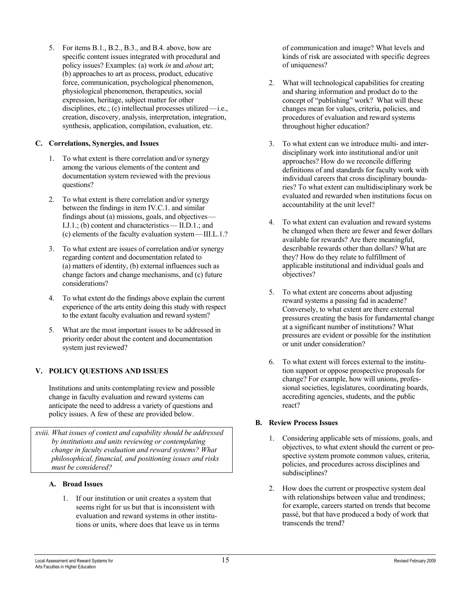5. For items B.1., B.2., B.3., and B.4. above, how are specific content issues integrated with procedural and policy issues? Examples: (a) work *in* and *about* art; (b) approaches to art as process, product, educative force, communication, psychological phenomenon, physiological phenomenon, therapeutics, social expression, heritage, subject matter for other disciplines, etc.; (c) intellectual processes utilized—i.e., creation, discovery, analysis, interpretation, integration, synthesis, application, compilation, evaluation, etc.

### **C. Correlations, Synergies, and Issues**

- 1. To what extent is there correlation and/or synergy among the various elements of the content and documentation system reviewed with the previous questions?
- 2. To what extent is there correlation and/or synergy between the findings in item IV.C.1. and similar findings about (a) missions, goals, and objectives— I.J.1.; (b) content and characteristics— II.D.1.; and (c) elements of the faculty evaluation system—III.L.1.?
- 3. To what extent are issues of correlation and/or synergy regarding content and documentation related to (a) matters of identity, (b) external influences such as change factors and change mechanisms, and (c) future considerations?
- 4. To what extent do the findings above explain the current experience of the arts entity doing this study with respect to the extant faculty evaluation and reward system?
- 5. What are the most important issues to be addressed in priority order about the content and documentation system just reviewed?

### **V. POLICY QUESTIONS AND ISSUES**

Institutions and units contemplating review and possible change in faculty evaluation and reward systems can anticipate the need to address a variety of questions and policy issues. A few of these are provided below.

*xviii. What issues of context and capability should be addressed by institutions and units reviewing or contemplating change in faculty evaluation and reward systems? What philosophical, financial, and positioning issues and risks must be considered?*

#### **A. Broad Issues**

1. If our institution or unit creates a system that seems right for us but that is inconsistent with evaluation and reward systems in other institutions or units, where does that leave us in terms of communication and image? What levels and kinds of risk are associated with specific degrees of uniqueness?

- 2. What will technological capabilities for creating and sharing information and product do to the concept of "publishing" work? What will these changes mean for values, criteria, policies, and procedures of evaluation and reward systems throughout higher education?
- 3. To what extent can we introduce multi- and interdisciplinary work into institutional and/or unit approaches? How do we reconcile differing definitions of and standards for faculty work with individual careers that cross disciplinary boundaries? To what extent can multidisciplinary work be evaluated and rewarded when institutions focus on accountability at the unit level?
- 4. To what extent can evaluation and reward systems be changed when there are fewer and fewer dollars available for rewards? Are there meaningful, describable rewards other than dollars? What are they? How do they relate to fulfillment of applicable institutional and individual goals and objectives?
- 5. To what extent are concerns about adjusting reward systems a passing fad in academe? Conversely, to what extent are there external pressures creating the basis for fundamental change at a significant number of institutions? What pressures are evident or possible for the institution or unit under consideration?
- 6. To what extent will forces external to the institution support or oppose prospective proposals for change? For example, how will unions, professional societies, legislatures, coordinating boards, accrediting agencies, students, and the public react?

### **B. Review Process Issues**

- 1. Considering applicable sets of missions, goals, and objectives, to what extent should the current or prospective system promote common values, criteria, policies, and procedures across disciplines and subdisciplines?
- 2. How does the current or prospective system deal with relationships between value and trendiness; for example, careers started on trends that become passé, but that have produced a body of work that transcends the trend?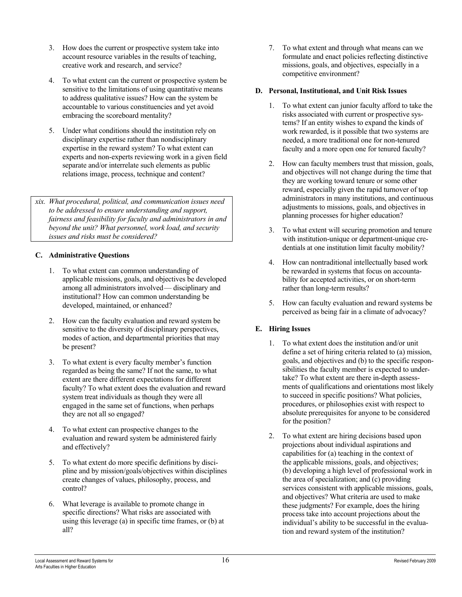- 3. How does the current or prospective system take into account resource variables in the results of teaching, creative work and research, and service?
- 4. To what extent can the current or prospective system be sensitive to the limitations of using quantitative means to address qualitative issues? How can the system be accountable to various constituencies and yet avoid embracing the scoreboard mentality?
- 5. Under what conditions should the institution rely on disciplinary expertise rather than nondisciplinary expertise in the reward system? To what extent can experts and non-experts reviewing work in a given field separate and/or interrelate such elements as public relations image, process, technique and content?

*xix. What procedural, political, and communication issues need to be addressed to ensure understanding and support, fairness and feasibility for faculty and administrators in and beyond the unit? What personnel, work load, and security issues and risks must be considered?* 

#### **C. Administrative Questions**

- 1. To what extent can common understanding of applicable missions, goals, and objectives be developed among all administrators involved— disciplinary and institutional? How can common understanding be developed, maintained, or enhanced?
- 2. How can the faculty evaluation and reward system be sensitive to the diversity of disciplinary perspectives, modes of action, and departmental priorities that may be present?
- 3. To what extent is every faculty member's function regarded as being the same? If not the same, to what extent are there different expectations for different faculty? To what extent does the evaluation and reward system treat individuals as though they were all engaged in the same set of functions, when perhaps they are not all so engaged?
- 4. To what extent can prospective changes to the evaluation and reward system be administered fairly and effectively?
- 5. To what extent do more specific definitions by discipline and by mission/goals/objectives within disciplines create changes of values, philosophy, process, and control?
- 6. What leverage is available to promote change in specific directions? What risks are associated with using this leverage (a) in specific time frames, or (b) at all?

7. To what extent and through what means can we formulate and enact policies reflecting distinctive missions, goals, and objectives, especially in a competitive environment?

#### **D. Personal, Institutional, and Unit Risk Issues**

- 1. To what extent can junior faculty afford to take the risks associated with current or prospective systems? If an entity wishes to expand the kinds of work rewarded, is it possible that two systems are needed, a more traditional one for non-tenured faculty and a more open one for tenured faculty?
- 2. How can faculty members trust that mission, goals, and objectives will not change during the time that they are working toward tenure or some other reward, especially given the rapid turnover of top administrators in many institutions, and continuous adjustments to missions, goals, and objectives in planning processes for higher education?
- 3. To what extent will securing promotion and tenure with institution-unique or department-unique credentials at one institution limit faculty mobility?
- 4. How can nontraditional intellectually based work be rewarded in systems that focus on accountability for accepted activities, or on short-term rather than long-term results?
- 5. How can faculty evaluation and reward systems be perceived as being fair in a climate of advocacy?

### **E. Hiring Issues**

- 1. To what extent does the institution and/or unit define a set of hiring criteria related to (a) mission, goals, and objectives and (b) to the specific responsibilities the faculty member is expected to undertake? To what extent are there in-depth assessments of qualifications and orientations most likely to succeed in specific positions? What policies, procedures, or philosophies exist with respect to absolute prerequisites for anyone to be considered for the position?
- 2. To what extent are hiring decisions based upon projections about individual aspirations and capabilities for (a) teaching in the context of the applicable missions, goals, and objectives; (b) developing a high level of professional work in the area of specialization; and (c) providing services consistent with applicable missions, goals, and objectives? What criteria are used to make these judgments? For example, does the hiring process take into account projections about the individual's ability to be successful in the evaluation and reward system of the institution?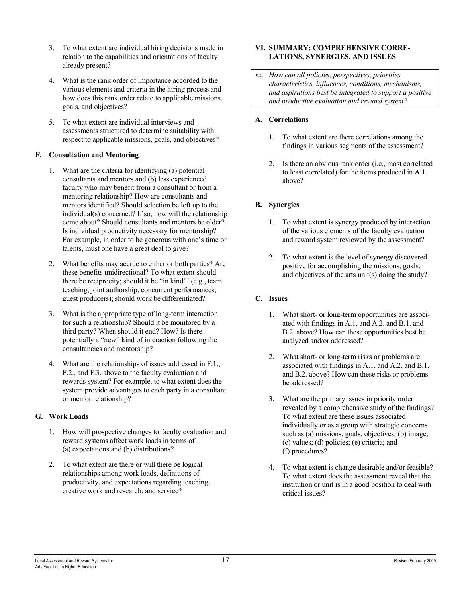- 3. To what extent are individual hiring decisions made in relation to the capabilities and orientations of faculty already present?
- 4. What is the rank order of importance accorded to the various elements and criteria in the hiring process and how does this rank order relate to applicable missions, goals, and objectives?
- 5. To what extent are individual interviews and assessments structured to determine suitability with respect to applicable missions, goals, and objectives?

#### **F. Consultation and Mentoring**

- 1. What are the criteria for identifying (a) potential consultants and mentors and (b) less experienced faculty who may benefit from a consultant or from a mentoring relationship? How are consultants and mentors identified? Should selection be left up to the individual(s) concerned? If so, how will the relationship come about? Should consultants and mentors be older? Is individual productivity necessary for mentorship? For example, in order to be generous with one's time or talents, must one have a great deal to give?
- 2. What benefits may accrue to either or both parties? Are these benefits unidirectional? To what extent should there be reciprocity; should it be "in kind"' (e.g., team teaching, joint authorship, concurrent performances, guest producers); should work be differentiated?
- 3. What is the appropriate type of long-term interaction for such a relationship? Should it be monitored by a third party? When should it end? How? Is there potentially a "new" kind of interaction following the consultancies and mentorship?
- 4. What are the relationships of issues addressed in F.1., F.2., and F.3. above to the faculty evaluation and rewards system? For example, to what extent does the system provide advantages to each party in a consultant or mentor relationship?

### **G. Work Loads**

- 1. How will prospective changes to faculty evaluation and reward systems affect work loads in terms of (a) expectations and (b) distributions?
- 2. To what extent are there or will there be logical relationships among work loads, definitions of productivity, and expectations regarding teaching, creative work and research, and service?

#### **VI. SUMMARY: COMPREHENSIVE CORRE-LATIONS, SYNERGIES, AND ISSUES**

*xx. How can all policies, perspectives, priorities, characteristics, influences, conditions, mechanisms, and aspirations best be integrated to support a positive and productive evaluation and reward system?* 

#### **A. Correlations**

- 1. To what extent are there correlations among the findings in various segments of the assessment?
- 2. Is there an obvious rank order (i.e., most correlated to least correlated) for the items produced in A.1. above?

#### **B. Synergies**

- 1. To what extent is synergy produced by interaction of the various elements of the faculty evaluation and reward system reviewed by the assessment?
- 2. To what extent is the level of synergy discovered positive for accomplishing the missions, goals, and objectives of the arts unit(s) doing the study?

### **C. Issues**

- 1. What short- or long-term opportunities are associated with findings in A.1. and A.2. and B.1. and B.2. above? How can these opportunities best be analyzed and/or addressed?
- 2. What short- or long-term risks or problems are associated with findings in A.1. and A.2. and B.1. and B.2. above? How can these risks or problems be addressed?
- 3. What are the primary issues in priority order revealed by a comprehensive study of the findings? To what extent are these issues associated individually or as a group with strategic concerns such as (a) missions, goals, objectives; (b) image; (c) values; (d) policies; (e) criteria; and (f) procedures?
- 4. To what extent is change desirable and/or feasible? To what extent does the assessment reveal that the institution or unit is in a good position to deal with critical issues?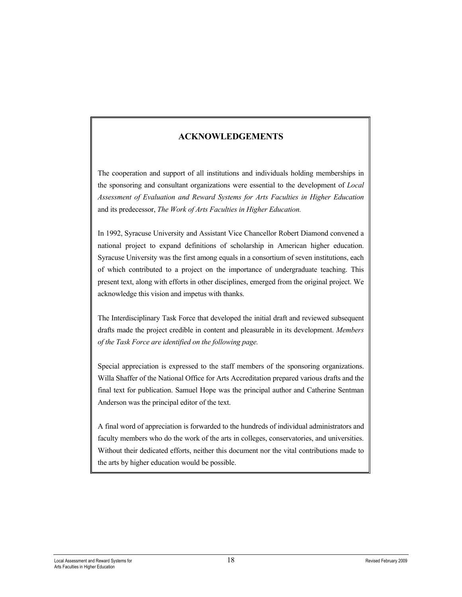# **ACKNOWLEDGEMENTS**

The cooperation and support of all institutions and individuals holding memberships in the sponsoring and consultant organizations were essential to the development of *Local Assessment of Evaluation and Reward Systems for Arts Faculties in Higher Education* and its predecessor, *The Work of Arts Faculties in Higher Education.*

In 1992, Syracuse University and Assistant Vice Chancellor Robert Diamond convened a national project to expand definitions of scholarship in American higher education. Syracuse University was the first among equals in a consortium of seven institutions, each of which contributed to a project on the importance of undergraduate teaching. This present text, along with efforts in other disciplines, emerged from the original project. We acknowledge this vision and impetus with thanks.

The Interdisciplinary Task Force that developed the initial draft and reviewed subsequent drafts made the project credible in content and pleasurable in its development. *Members of the Task Force are identified on the following page.*

Special appreciation is expressed to the staff members of the sponsoring organizations. Willa Shaffer of the National Office for Arts Accreditation prepared various drafts and the final text for publication. Samuel Hope was the principal author and Catherine Sentman Anderson was the principal editor of the text.

A final word of appreciation is forwarded to the hundreds of individual administrators and faculty members who do the work of the arts in colleges, conservatories, and universities. Without their dedicated efforts, neither this document nor the vital contributions made to the arts by higher education would be possible.